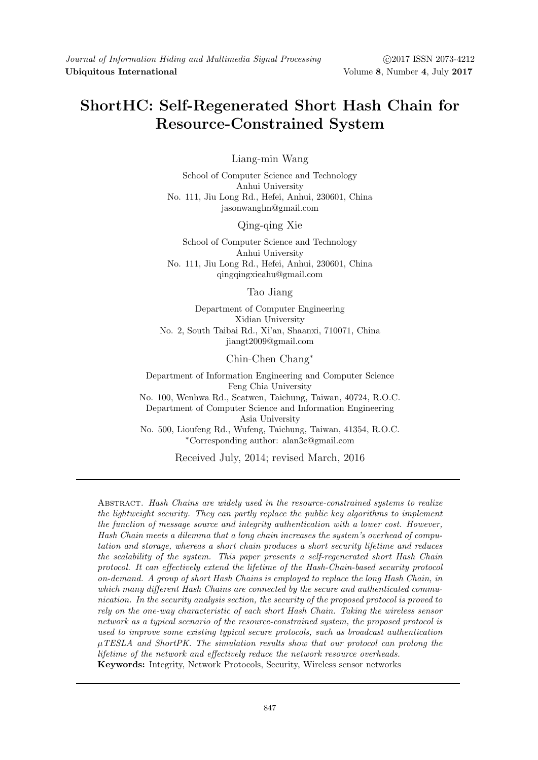# ShortHC: Self-Regenerated Short Hash Chain for Resource-Constrained System

Liang-min Wang

School of Computer Science and Technology Anhui University No. 111, Jiu Long Rd., Hefei, Anhui, 230601, China jasonwanglm@gmail.com

Qing-qing Xie

School of Computer Science and Technology Anhui University No. 111, Jiu Long Rd., Hefei, Anhui, 230601, China qingqingxieahu@gmail.com

Tao Jiang

Department of Computer Engineering Xidian University No. 2, South Taibai Rd., Xi'an, Shaanxi, 710071, China jiangt2009@gmail.com

Chin-Chen Chang<sup>∗</sup>

Department of Information Engineering and Computer Science Feng Chia University No. 100, Wenhwa Rd., Seatwen, Taichung, Taiwan, 40724, R.O.C. Department of Computer Science and Information Engineering Asia University No. 500, Lioufeng Rd., Wufeng, Taichung, Taiwan, 41354, R.O.C. <sup>∗</sup>Corresponding author: alan3c@gmail.com

Received July, 2014; revised March, 2016

Abstract. Hash Chains are widely used in the resource-constrained systems to realize the lightweight security. They can partly replace the public key algorithms to implement the function of message source and integrity authentication with a lower cost. However, Hash Chain meets a dilemma that a long chain increases the system's overhead of computation and storage, whereas a short chain produces a short security lifetime and reduces the scalability of the system. This paper presents a self-regenerated short Hash Chain protocol. It can effectively extend the lifetime of the Hash-Chain-based security protocol on-demand. A group of short Hash Chains is employed to replace the long Hash Chain, in which many different Hash Chains are connected by the secure and authenticated communication. In the security analysis section, the security of the proposed protocol is proved to rely on the one-way characteristic of each short Hash Chain. Taking the wireless sensor network as a typical scenario of the resource-constrained system, the proposed protocol is used to improve some existing typical secure protocols, such as broadcast authentication  $\mu$ TESLA and ShortPK. The simulation results show that our protocol can prolong the lifetime of the network and effectively reduce the network resource overheads. Keywords: Integrity, Network Protocols, Security, Wireless sensor networks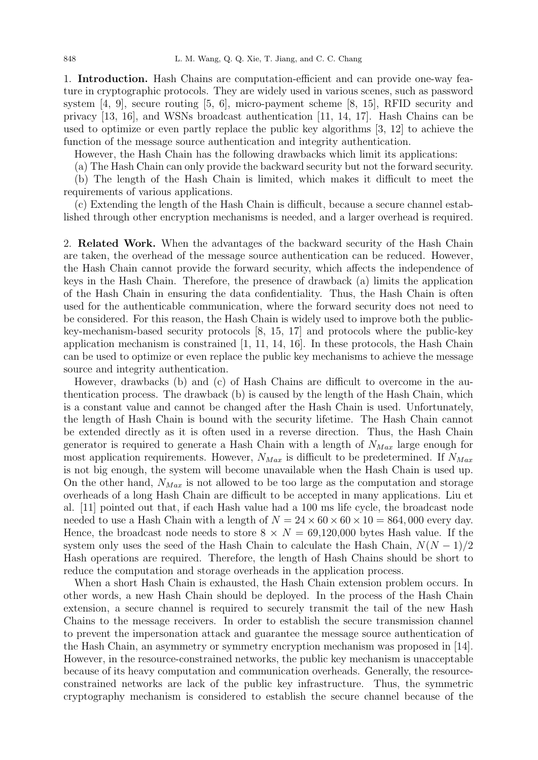1. Introduction. Hash Chains are computation-efficient and can provide one-way feature in cryptographic protocols. They are widely used in various scenes, such as password system [4, 9], secure routing [5, 6], micro-payment scheme [8, 15], RFID security and privacy [13, 16], and WSNs broadcast authentication [11, 14, 17]. Hash Chains can be used to optimize or even partly replace the public key algorithms [3, 12] to achieve the function of the message source authentication and integrity authentication.

However, the Hash Chain has the following drawbacks which limit its applications:

(a) The Hash Chain can only provide the backward security but not the forward security. (b) The length of the Hash Chain is limited, which makes it difficult to meet the requirements of various applications.

(c) Extending the length of the Hash Chain is difficult, because a secure channel established through other encryption mechanisms is needed, and a larger overhead is required.

2. Related Work. When the advantages of the backward security of the Hash Chain are taken, the overhead of the message source authentication can be reduced. However, the Hash Chain cannot provide the forward security, which affects the independence of keys in the Hash Chain. Therefore, the presence of drawback (a) limits the application of the Hash Chain in ensuring the data confidentiality. Thus, the Hash Chain is often used for the authenticable communication, where the forward security does not need to be considered. For this reason, the Hash Chain is widely used to improve both the publickey-mechanism-based security protocols [8, 15, 17] and protocols where the public-key application mechanism is constrained [1, 11, 14, 16]. In these protocols, the Hash Chain can be used to optimize or even replace the public key mechanisms to achieve the message source and integrity authentication.

However, drawbacks (b) and (c) of Hash Chains are difficult to overcome in the authentication process. The drawback (b) is caused by the length of the Hash Chain, which is a constant value and cannot be changed after the Hash Chain is used. Unfortunately, the length of Hash Chain is bound with the security lifetime. The Hash Chain cannot be extended directly as it is often used in a reverse direction. Thus, the Hash Chain generator is required to generate a Hash Chain with a length of  $N_{Max}$  large enough for most application requirements. However,  $N_{Max}$  is difficult to be predetermined. If  $N_{Max}$ is not big enough, the system will become unavailable when the Hash Chain is used up. On the other hand,  $N_{Max}$  is not allowed to be too large as the computation and storage overheads of a long Hash Chain are difficult to be accepted in many applications. Liu et al. [11] pointed out that, if each Hash value had a 100 ms life cycle, the broadcast node needed to use a Hash Chain with a length of  $N = 24 \times 60 \times 60 \times 10 = 864,000$  every day. Hence, the broadcast node needs to store  $8 \times N = 69,120,000$  bytes Hash value. If the system only uses the seed of the Hash Chain to calculate the Hash Chain,  $N(N-1)/2$ Hash operations are required. Therefore, the length of Hash Chains should be short to reduce the computation and storage overheads in the application process.

When a short Hash Chain is exhausted, the Hash Chain extension problem occurs. In other words, a new Hash Chain should be deployed. In the process of the Hash Chain extension, a secure channel is required to securely transmit the tail of the new Hash Chains to the message receivers. In order to establish the secure transmission channel to prevent the impersonation attack and guarantee the message source authentication of the Hash Chain, an asymmetry or symmetry encryption mechanism was proposed in [14]. However, in the resource-constrained networks, the public key mechanism is unacceptable because of its heavy computation and communication overheads. Generally, the resourceconstrained networks are lack of the public key infrastructure. Thus, the symmetric cryptography mechanism is considered to establish the secure channel because of the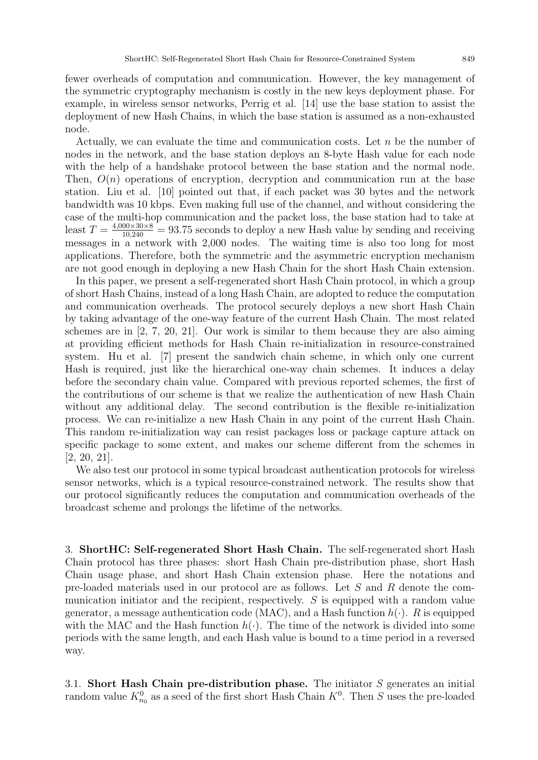fewer overheads of computation and communication. However, the key management of the symmetric cryptography mechanism is costly in the new keys deployment phase. For example, in wireless sensor networks, Perrig et al. [14] use the base station to assist the deployment of new Hash Chains, in which the base station is assumed as a non-exhausted node.

Actually, we can evaluate the time and communication costs. Let  $n$  be the number of nodes in the network, and the base station deploys an 8-byte Hash value for each node with the help of a handshake protocol between the base station and the normal node. Then,  $O(n)$  operations of encryption, decryption and communication run at the base station. Liu et al. [10] pointed out that, if each packet was 30 bytes and the network bandwidth was 10 kbps. Even making full use of the channel, and without considering the case of the multi-hop communication and the packet loss, the base station had to take at least  $T = \frac{4,000 \times 30 \times 8}{10,240} = 93.75$  seconds to deploy a new Hash value by sending and receiving messages in a network with 2,000 nodes. The waiting time is also too long for most applications. Therefore, both the symmetric and the asymmetric encryption mechanism are not good enough in deploying a new Hash Chain for the short Hash Chain extension.

In this paper, we present a self-regenerated short Hash Chain protocol, in which a group of short Hash Chains, instead of a long Hash Chain, are adopted to reduce the computation and communication overheads. The protocol securely deploys a new short Hash Chain by taking advantage of the one-way feature of the current Hash Chain. The most related schemes are in [2, 7, 20, 21]. Our work is similar to them because they are also aiming at providing efficient methods for Hash Chain re-initialization in resource-constrained system. Hu et al. [7] present the sandwich chain scheme, in which only one current Hash is required, just like the hierarchical one-way chain schemes. It induces a delay before the secondary chain value. Compared with previous reported schemes, the first of the contributions of our scheme is that we realize the authentication of new Hash Chain without any additional delay. The second contribution is the flexible re-initialization process. We can re-initialize a new Hash Chain in any point of the current Hash Chain. This random re-initialization way can resist packages loss or package capture attack on specific package to some extent, and makes our scheme different from the schemes in [2, 20, 21].

We also test our protocol in some typical broadcast authentication protocols for wireless sensor networks, which is a typical resource-constrained network. The results show that our protocol significantly reduces the computation and communication overheads of the broadcast scheme and prolongs the lifetime of the networks.

3. ShortHC: Self-regenerated Short Hash Chain. The self-regenerated short Hash Chain protocol has three phases: short Hash Chain pre-distribution phase, short Hash Chain usage phase, and short Hash Chain extension phase. Here the notations and pre-loaded materials used in our protocol are as follows. Let S and R denote the communication initiator and the recipient, respectively. S is equipped with a random value generator, a message authentication code (MAC), and a Hash function  $h(\cdot)$ . R is equipped with the MAC and the Hash function  $h(\cdot)$ . The time of the network is divided into some periods with the same length, and each Hash value is bound to a time period in a reversed way.

3.1. Short Hash Chain pre-distribution phase. The initiator S generates an initial random value  $K_{n_0}^0$  as a seed of the first short Hash Chain  $K^0$ . Then S uses the pre-loaded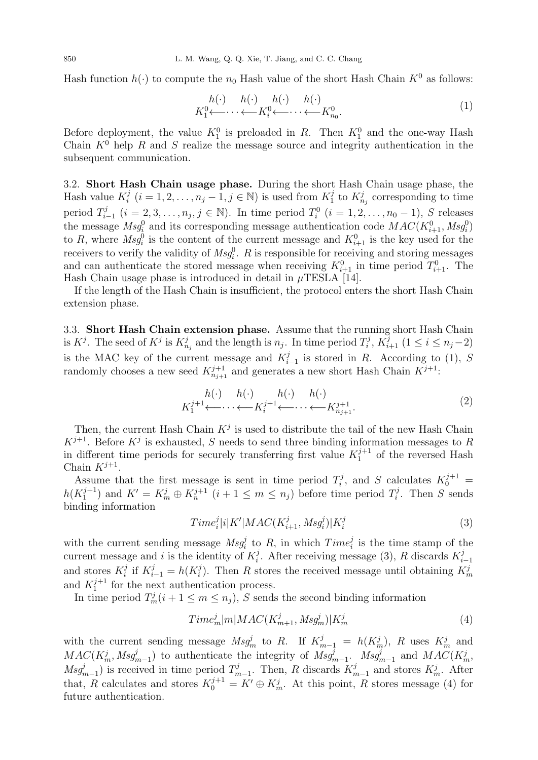Hash function  $h(\cdot)$  to compute the  $n_0$  Hash value of the short Hash Chain  $K^0$  as follows:

$$
h(\cdot) \quad h(\cdot) \quad h(\cdot) \quad h(\cdot) \quad h(\cdot) \quad h(\cdot) \quad K_1^0 \leftarrow \cdots \leftarrow K_{n_0}^0. \tag{1}
$$

Before deployment, the value  $K_1^0$  is preloaded in R. Then  $K_1^0$  and the one-way Hash Chain  $K^0$  help R and S realize the message source and integrity authentication in the subsequent communication.

3.2. Short Hash Chain usage phase. During the short Hash Chain usage phase, the Hash value  $K_i^j$  $i_{i}^{j}$   $(i = 1, 2, ..., n_{j} - 1, j \in \mathbb{N})$  is used from  $K_{1}^{j}$  $X_{n_j}^j$  to  $K_{n_j}^j$  corresponding to time period  $T_i^j$  $j_{i-1}^j$  (*i* = 2, 3, ...,  $n_j$ , *j* ∈ ℕ). In time period  $T_i^0$  (*i* = 1, 2, ...,  $n_0$  − 1), *S* releases the message  $Msg_i^0$  and its corresponding message authentication code  $MAC(K_{i+1}^0, Msg_i^0)$ to R, where  $Msg_i^0$  is the content of the current message and  $K_{i+1}^0$  is the key used for the receivers to verify the validity of  $\text{Msg}^0_i$ . R is responsible for receiving and storing messages and can authenticate the stored message when receiving  $K_{i+1}^0$  in time period  $T_{i+1}^0$ . The Hash Chain usage phase is introduced in detail in  $\mu$ TESLA [14].

If the length of the Hash Chain is insufficient, the protocol enters the short Hash Chain extension phase.

3.3. Short Hash Chain extension phase. Assume that the running short Hash Chain is  $K^j$ . The seed of  $K^j$  is  $K^j_{n_j}$  and the length is  $n_j$ . In time period  $T^j_i$  $\sum_{i}^{j}, K_{i+1}^{j}$   $(1 \leq i \leq n_j-2)$ is the MAC key of the current message and  $K_i^j$  $i_{i-1}^j$  is stored in R. According to (1), S randomly chooses a new seed  $K_{n_{j+1}}^{j+1}$  and generates a new short Hash Chain  $K^{j+1}$ :

$$
K_1^{j+1} \longleftrightarrow \cdots \longleftrightarrow K_i^{j+1} \longleftrightarrow \cdots \longleftrightarrow K_{n_{j+1}}^{j+1}.
$$
\n
$$
(2)
$$

Then, the current Hash Chain  $K^j$  is used to distribute the tail of the new Hash Chain  $K^{j+1}$ . Before  $K^j$  is exhausted, S needs to send three binding information messages to R in different time periods for securely transferring first value  $K_1^{j+1}$  $1^{j+1}$  of the reversed Hash Chain  $K^{j+1}$ .

Assume that the first message is sent in time period  $T_i^j$  $S_i$  calculates  $K_0^{j+1}$  =  $h(K_1^{j+1})$  $j^{j+1}_{1}$  and  $K' = K_m^j \oplus K_n^{j+1}$   $(i+1 \leq m \leq n_j)$  before time period  $T_i^j$  $i<sup>j</sup>$ . Then S sends binding information

$$
Time_i^j|i|K'|MAC(K_{i+1}^j, Msg_i^j)|K_i^j \tag{3}
$$

with the current sending message  $Msg_i^j$  to R, in which  $Time_i^j$  is the time stamp of the current message and i is the identity of  $K_i^j$  $i$ . After receiving message (3), R discards  $K_i^j$ i−1 and stores  $K_i^j$  $i$ <sup>j</sup> if  $K_{i-1}^j = h(K_i^j)$ <sup>j</sup>). Then R stores the received message until obtaining  $K_m^j$ and  $K_1^{j+1}$  $j_{1}^{j+1}$  for the next authentication process.

In time period  $T_m^j(i + 1 \le m \le n_j)$ , S sends the second binding information

$$
Time_m^j|m|MAC(K_{m+1}^j, Msg_m^j)|K_m^j \tag{4}
$$

with the current sending message  $Msg_m^j$  to R. If  $K_{m-1}^j = h(K_m^j)$ , R uses  $K_m^j$  and  $MAC(K_m^j, Msg_{m-1}^j)$  to authenticate the integrity of  $Msg_{m-1}^j$ .  $Msg_{m-1}^j$  and  $MAC(K_m^j)$  $Msg_{m-1}^j$ ) is received in time period  $T_n^j$  $m-1$ . Then, R discards  $K_n^j$  $\sum_{m=1}^{j}$  and stores  $K_m^j$ . After that, R calculates and stores  $K_0^{j+1} = K' \oplus K_m^j$ . At this point, R stores message (4) for future authentication.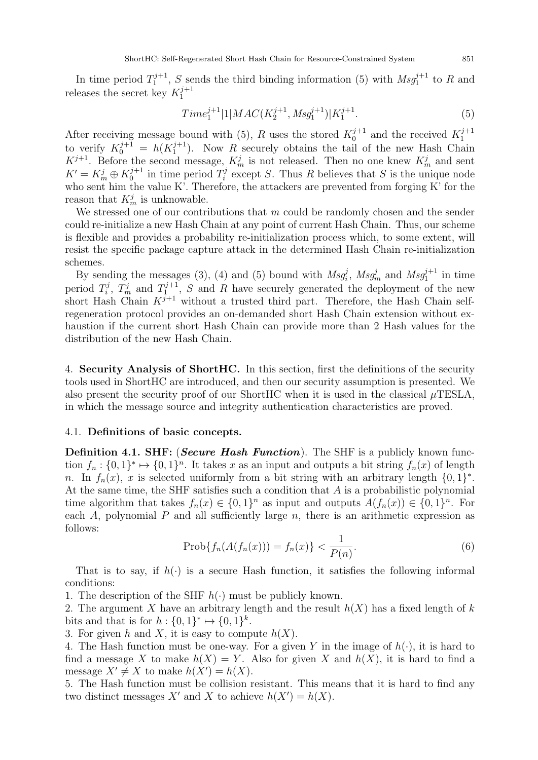In time period  $T_1^{j+1}$  $1^{j+1}$ , S sends the third binding information (5) with  $Msg_1^{j+1}$  to R and releases the secret key  $K_1^{j+1}$ 1

$$
Time_1^{j+1}|1|MAC(K_2^{j+1}, Msg_1^{j+1})|K_1^{j+1}.
$$
\n
$$
(5)
$$

After receiving message bound with (5), R uses the stored  $K_0^{j+1}$  $\kappa_0^{j+1}$  and the received  $K_1^{j+1}$ 1 to verify  $K_0^{j+1} = h(K_1^{j+1})$  $1^{j+1}$ ). Now R securely obtains the tail of the new Hash Chain  $K^{j+1}$ . Before the second message,  $K_m^j$  is not released. Then no one knew  $K_m^j$  and sent  $K' = K_m^j \oplus K_0^{j+1}$  $i_0^{j+1}$  in time period  $T_i^j$ <sup>"</sup>/<sub>i</sub> except S. Thus R believes that S is the unique node who sent him the value K'. Therefore, the attackers are prevented from forging K' for the reason that  $K_m^j$  is unknowable.

We stressed one of our contributions that  $m$  could be randomly chosen and the sender could re-initialize a new Hash Chain at any point of current Hash Chain. Thus, our scheme is flexible and provides a probability re-initialization process which, to some extent, will resist the specific package capture attack in the determined Hash Chain re-initialization schemes.

By sending the messages (3), (4) and (5) bound with  $Msg_i^j$ ,  $Msg_m^j$  and  $Msg_1^{j+1}$  in time period  $T_i^j$  $T_i^j$ ,  $T_m^j$  and  $T_1^{j+1}$  $1^{j+1}$ , S and R have securely generated the deployment of the new short Hash Chain  $K^{j+1}$  without a trusted third part. Therefore, the Hash Chain selfregeneration protocol provides an on-demanded short Hash Chain extension without exhaustion if the current short Hash Chain can provide more than 2 Hash values for the distribution of the new Hash Chain.

4. Security Analysis of ShortHC. In this section, first the definitions of the security tools used in ShortHC are introduced, and then our security assumption is presented. We also present the security proof of our ShortHC when it is used in the classical  $\mu$ TESLA, in which the message source and integrity authentication characteristics are proved.

# 4.1. Definitions of basic concepts.

**Definition 4.1. SHF:** (*Secure Hash Function*). The SHF is a publicly known function  $f_n: \{0,1\}^* \mapsto \{0,1\}^n$ . It takes x as an input and outputs a bit string  $f_n(x)$  of length n. In  $f_n(x)$ , x is selected uniformly from a bit string with an arbitrary length  $\{0,1\}^*$ . At the same time, the SHF satisfies such a condition that A is a probabilistic polynomial time algorithm that takes  $f_n(x) \in \{0,1\}^n$  as input and outputs  $A(f_n(x)) \in \{0,1\}^n$ . For each A, polynomial P and all sufficiently large  $n$ , there is an arithmetic expression as follows:

$$
Prob{f_n(A(f_n(x))) = f_n(x)} < \frac{1}{P(n)}.
$$
\n(6)

That is to say, if  $h(\cdot)$  is a secure Hash function, it satisfies the following informal conditions:

1. The description of the SHF  $h(\cdot)$  must be publicly known.

2. The argument X have an arbitrary length and the result  $h(X)$  has a fixed length of k bits and that is for  $h: \{0,1\}^* \mapsto \{0,1\}^k$ .

3. For given h and X, it is easy to compute  $h(X)$ .

4. The Hash function must be one-way. For a given Y in the image of  $h(\cdot)$ , it is hard to find a message X to make  $h(X) = Y$ . Also for given X and  $h(X)$ , it is hard to find a message  $X' \neq X$  to make  $h(X') = h(X)$ .

5. The Hash function must be collision resistant. This means that it is hard to find any two distinct messages X' and X to achieve  $h(X') = h(X)$ .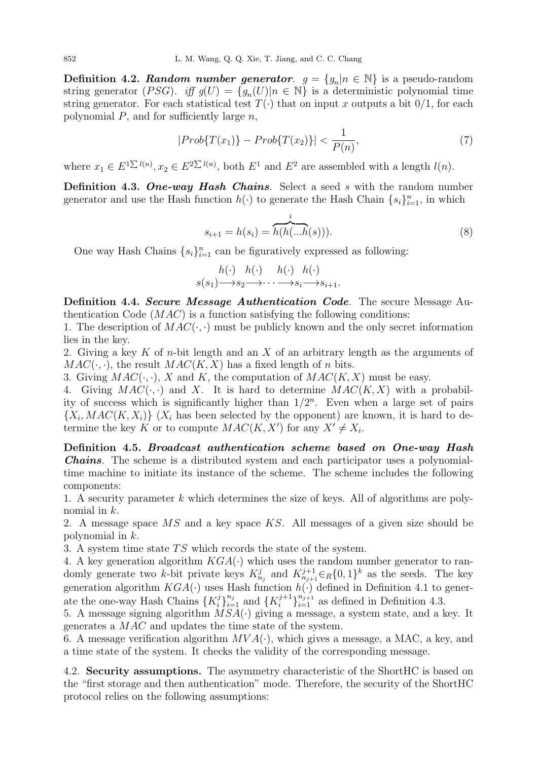**Definition 4.2.** Random number generator.  $g = \{g_n | n \in \mathbb{N}\}\$ is a pseudo-random string generator (PSG). iff  $g(U) = \{g_n(U) | n \in \mathbb{N}\}\$ is a deterministic polynomial time string generator. For each statistical test  $T(\cdot)$  that on input x outputs a bit  $0/1$ , for each polynomial  $P$ , and for sufficiently large  $n$ ,

$$
|Prob\{T(x_1)\} - Prob\{T(x_2)\}| < \frac{1}{P(n)},
$$
\n(7)

where  $x_1 \in E^{1 \sum l(n)}$ ,  $x_2 \in E^{2 \sum l(n)}$ , both  $E^1$  and  $E^2$  are assembled with a length  $l(n)$ .

Definition 4.3. One-way Hash Chains. Select a seed s with the random number generator and use the Hash function  $h(\cdot)$  to generate the Hash Chain  $\{s_i\}_{i=1}^n$ , in which

$$
s_{i+1} = h(s_i) = \overbrace{h(h(...h(s)))}^{i}.
$$
 (8)

One way Hash Chains  $\{s_i\}_{i=1}^n$  can be figuratively expressed as following:

$$
h(\cdot) \quad h(\cdot) \quad h(\cdot) \quad h(\cdot) s(s_1) \longrightarrow s_2 \longrightarrow \cdots \longrightarrow s_i \longrightarrow s_{i+1}.
$$

Definition 4.4. Secure Message Authentication Code. The secure Message Authentication Code  $(MAC)$  is a function satisfying the following conditions:

1. The description of  $MAC(\cdot, \cdot)$  must be publicly known and the only secret information lies in the key.

2. Giving a key K of n-bit length and an X of an arbitrary length as the arguments of  $MAC(\cdot, \cdot)$ , the result  $MAC(K, X)$  has a fixed length of n bits.

3. Giving  $MAC(\cdot, \cdot)$ , X and K, the computation of  $MAC(K, X)$  must be easy.

4. Giving  $MAC(\cdot, \cdot)$  and X. It is hard to determine  $MAC(K, X)$  with a probability of success which is significantly higher than  $1/2^n$ . Even when a large set of pairs  ${X_i, MAC(K, X_i)}$  ( $X_i$  has been selected by the opponent) are known, it is hard to determine the key K or to compute  $MAC(K, X')$  for any  $X' \neq X_i$ .

Definition 4.5. Broadcast authentication scheme based on One-way Hash Chains. The scheme is a distributed system and each participator uses a polynomialtime machine to initiate its instance of the scheme. The scheme includes the following components:

1. A security parameter k which determines the size of keys. All of algorithms are polynomial in k.

2. A message space MS and a key space KS. All messages of a given size should be polynomial in k.

3. A system time state  $TS$  which records the state of the system.

4. A key generation algorithm  $KGA(\cdot)$  which uses the random number generator to randomly generate two k-bit private keys  $K_{n_j}^j$  and  $K_{n_{j+1}}^{j+1} \in_R \{0,1\}^k$  as the seeds. The key generation algorithm  $KGA(\cdot)$  uses Hash function  $h(\cdot)$  defined in Definition 4.1 to generate the one-way Hash Chains  $\{K_i^j\}$  $\{i\}_{i=1}^{n_j}$  and  $\{K_i^{j+1}\}$  $\binom{j+1}{i}\binom{n_{j+1}}{i=1}$  as defined in Definition 4.3.

5. A message signing algorithm  $MSA(\cdot)$  giving a message, a system state, and a key. It generates a MAC and updates the time state of the system.

6. A message verification algorithm  $MVA(\cdot)$ , which gives a message, a MAC, a key, and a time state of the system. It checks the validity of the corresponding message.

4.2. Security assumptions. The asymmetry characteristic of the ShortHC is based on the "first storage and then authentication" mode. Therefore, the security of the ShortHC protocol relies on the following assumptions: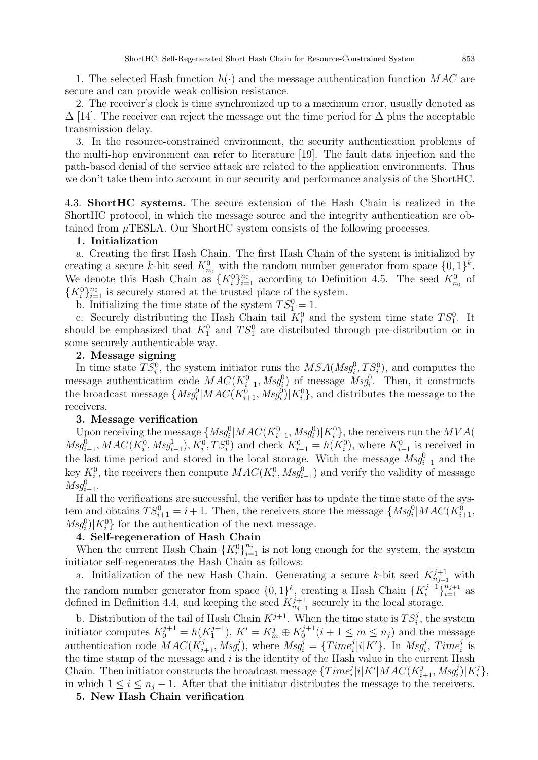1. The selected Hash function  $h(\cdot)$  and the message authentication function  $MAC$  are secure and can provide weak collision resistance.

2. The receiver's clock is time synchronized up to a maximum error, usually denoted as  $\Delta$  [14]. The receiver can reject the message out the time period for  $\Delta$  plus the acceptable transmission delay.

3. In the resource-constrained environment, the security authentication problems of the multi-hop environment can refer to literature [19]. The fault data injection and the path-based denial of the service attack are related to the application environments. Thus we don't take them into account in our security and performance analysis of the ShortHC.

4.3. ShortHC systems. The secure extension of the Hash Chain is realized in the ShortHC protocol, in which the message source and the integrity authentication are obtained from  $\mu$ TESLA. Our ShortHC system consists of the following processes.

### 1. Initialization

a. Creating the first Hash Chain. The first Hash Chain of the system is initialized by creating a secure k-bit seed  $K_{n_0}^0$  with the random number generator from space  $\{0,1\}^k$ . We denote this Hash Chain as  $\{K_i^0\}_{i=1}^{n_0}$  according to Definition 4.5. The seed  $K_{n_0}^0$  of  ${K_i^0}_{i=1}^{n_0}$  is securely stored at the trusted place of the system.

b. Initializing the time state of the system  $TS_1^0 = 1$ .

c. Securely distributing the Hash Chain tail  $K_1^0$  and the system time state  $TS_1^0$ . It should be emphasized that  $K_1^0$  and  $TS_1^0$  are distributed through pre-distribution or in some securely authenticable way.

## 2. Message signing

In time state  $TS_i^0$ , the system initiator runs the  $MSA(Msg_i^0, TS_i^0)$ , and computes the message authentication code  $MAC(K_{i+1}^0, Msg_i^0)$  of message  $Msg_i^0$ . Then, it constructs the broadcast message  $\{Msg_i^0|MAC(K_{i+1}^0, Msg_i^0)|K_i^0\}$ , and distributes the message to the receivers.

### 3. Message verification

Upon receiving the message  $\{Msg^0_i| MAC(K^0_{i+1}, Msg^0_i)|K^0_i\}$ , the receivers run the  $MVA($  $Msg_{i-1}^0, MAC(K_i^0, Msg_{i-1}^1), K_i^0, TS_i^0)$  and check  $K_{i-1}^0 = h(K_i^0)$ , where  $K_{i-1}^0$  is received in the last time period and stored in the local storage. With the message  $Msg^0_{i-1}$  and the key  $K_i^0$ , the receivers then compute  $MAC(K_i^0, Msg_{i-1}^0)$  and verify the validity of message  $Msg^{0}_{i-1}$ .

If all the verifications are successful, the verifier has to update the time state of the system and obtains  $TS_{i+1}^0 = i+1$ . Then, the receivers store the message  $\{Msg^0_i|MAC(K_{i+1}^0,$  $Msg_i^0$ |K $_i^0$ } for the authentication of the next message.

# 4. Self-regeneration of Hash Chain

When the current Hash Chain  ${K_i^0\}_{i=1}^{n_j}$  is not long enough for the system, the system initiator self-regenerates the Hash Chain as follows:

a. Initialization of the new Hash Chain. Generating a secure k-bit seed  $K_{n_{j+1}}^{j+1}$  with the random number generator from space  $\{0,1\}^k$ , creating a Hash Chain  $\{K_i^{j+1}\}$  $\binom{j+1}{i}\}_{i=1}^{n_{j+1}}$  as defined in Definition 4.4, and keeping the seed  $K_{n_{j+1}}^{j+1}$  securely in the local storage.

b. Distribution of the tail of Hash Chain  $K^{j+1}$ . When the time state is  $TS_i^j$ , the system initiator computes  $K_0^{j+1} = h(K_1^{j+1})$  $j^{j+1}_{1}$ ,  $K' = K_m^j \oplus K_0^{j+1}$  $0^{j+1}$  $(i+1 \leq m \leq n_j)$  and the message authentication code  $MAC(K_{i+1}^j, Msg_i^j)$ , where  $Msg_i^j = \{Time_i^j|i|K'\}$ . In  $Msg_i^j$ ,  $Time_i^j$  is the time stamp of the message and  $i$  is the identity of the Hash value in the current Hash Chain. Then initiator constructs the broadcast message  $\{Time_i^j|i|K'|MAC(K_{i+1}^j, Msg_i^j)|K_i^j\}$  $\left\{\frac{j}{i}\right\},$ in which  $1 \leq i \leq n_j - 1$ . After that the initiator distributes the message to the receivers.

5. New Hash Chain verification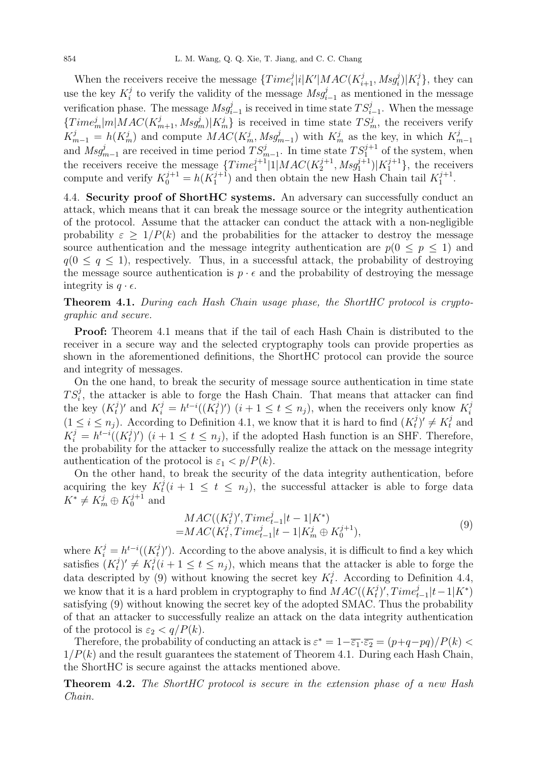When the receivers receive the message  $\{Time_i^j|i|K'|MAC(K_{i+1}^j, Msg_i^j)|K_i^j$  $\{i\}$ , they can use the key  $K_i^j$  $i$ <sup>i</sup> to verify the validity of the message  $Msg_{i-1}^j$  as mentioned in the message verification phase. The message  $\text{Msg}^j_{i-1}$  is received in time state  $TS^j_{i-1}$ . When the message  ${Time_{m}^{j}}|m|MAC(K_{m+1}^{j}, Msg_{m}^{j})|K_{m}^{j}$  is received in time state  $TS_{m}^{j}$ , the receivers verify  $K_{m-1}^j = h(K_m^j)$  and compute  $MAC(K_m^j, Msg_{m-1}^j)$  with  $K_m^j$  as the key, in which  $K_m^j$  $K_{m-1} = n(K_m^*)$  and compute  $MAC(K_m^*)Msg_{m-1}$  with  $K_m^*$  as the key, in which  $K_{m-1}$ <br>and  $Msg_{m-1}^j$  are received in time period  $TS_{m-1}^j$ . In time state  $TS_1^{j+1}$  of the system, when the receivers receive the message  ${Time_1^{j+1} | 1 | MAC(K_2^{j+1})}$  $\{2^{j+1}, Msg_1^{j+1})|K_1^{j+1}\},\$  the receivers compute and verify  $K_0^{j+1} = h(K_1^{j+1})$  $\binom{j+1}{1}$  and then obtain the new Hash Chain tail  $K_1^{j+1}$  $\frac{j+1}{1}$ .

4.4. Security proof of ShortHC systems. An adversary can successfully conduct an attack, which means that it can break the message source or the integrity authentication of the protocol. Assume that the attacker can conduct the attack with a non-negligible probability  $\varepsilon > 1/P(k)$  and the probabilities for the attacker to destroy the message source authentication and the message integrity authentication are  $p(0 \leq p \leq 1)$  and  $q(0 \leq q \leq 1)$ , respectively. Thus, in a successful attack, the probability of destroying the message source authentication is  $p \cdot \epsilon$  and the probability of destroying the message integrity is  $q \cdot \epsilon$ .

**Theorem 4.1.** During each Hash Chain usage phase, the ShortHC protocol is cryptographic and secure.

Proof: Theorem 4.1 means that if the tail of each Hash Chain is distributed to the receiver in a secure way and the selected cryptography tools can provide properties as shown in the aforementioned definitions, the ShortHC protocol can provide the source and integrity of messages.

On the one hand, to break the security of message source authentication in time state  $TS_i^j$ , the attacker is able to forge the Hash Chain. That means that attacker can find the key  $(K_t^j)$  $\chi_t^j$ )' and  $K_i^j = h^{t-i}((K_t^j))$  $(t_i^j)'$ )  $(i+1 \leq t \leq n_j)$ , when the receivers only know  $K_i^j$ i  $(1 \leq i \leq n_j)$ . According to Definition 4.1, we know that it is hard to find  $(K_t^j)$  $(t_t^j)' \neq K_t^j$  and  $K_i^j = h^{t-i}((K_t^j))$  $(t_i^j)'$   $(i+1 \leq t \leq n_j)$ , if the adopted Hash function is an SHF. Therefore, the probability for the attacker to successfully realize the attack on the message integrity authentication of the protocol is  $\varepsilon_1 < p/P(k)$ .

On the other hand, to break the security of the data integrity authentication, before acquiring the key  $K_t^j$  $t_i^j$  (i + 1  $\leq t \leq n_j$ ), the successful attacker is able to forge data  $K^* \neq K_m^j \oplus K_0^{j+1}$  $10^{j+1}$  and

$$
MAC((K_t^j)', Time_{t-1}^j | t - 1 | K^*)= MAC(K_t^j, Time_{t-1}^j | t - 1 | K_m^j \oplus K_0^{j+1}),
$$
\n(9)

where  $K_i^j = h^{t-i}((K_t^j))$  $(t<sup>j</sup>)'$ ). According to the above analysis, it is difficult to find a key which satisfies  $(K_t^j)$  $\binom{j}{t}' \neq K_t^j$  $t_i^j$  (i + 1  $\leq$  t  $\leq$  n<sub>j</sub>), which means that the attacker is able to forge the data descripted by (9) without knowing the secret key  $K_t^j$  $t<sup>j</sup>$ . According to Definition 4.4, we know that it is a hard problem in cryptography to find  $MAC((K_t^j))$  $\int_t^j)'$ ,  $Time_{t-1}^j |t-1|K^*$ satisfying (9) without knowing the secret key of the adopted SMAC. Thus the probability of that an attacker to successfully realize an attack on the data integrity authentication of the protocol is  $\varepsilon_2 < q/P(k)$ .

Therefore, the probability of conducting an attack is  $\varepsilon^* = 1 - \overline{\varepsilon_1} \cdot \overline{\varepsilon_2} = (p+q-pq)/P(k)$  $1/P(k)$  and the result guarantees the statement of Theorem 4.1. During each Hash Chain, the ShortHC is secure against the attacks mentioned above.

**Theorem 4.2.** The ShortHC protocol is secure in the extension phase of a new Hash Chain.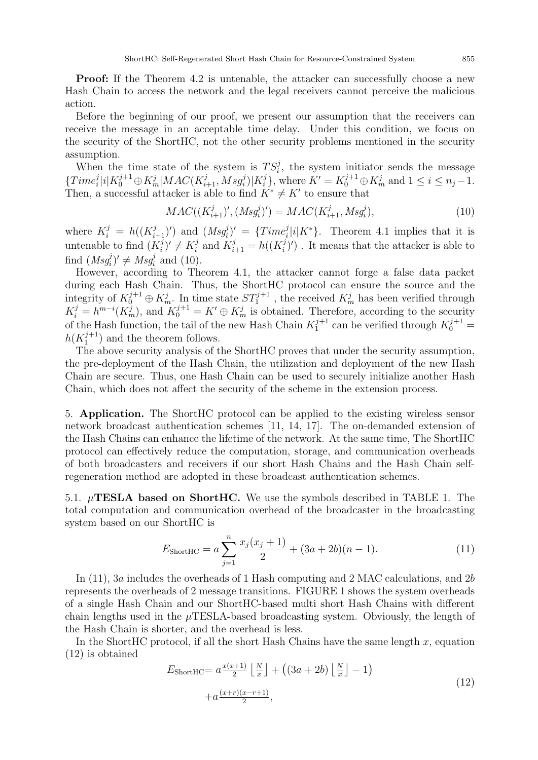Proof: If the Theorem 4.2 is untenable, the attacker can successfully choose a new Hash Chain to access the network and the legal receivers cannot perceive the malicious action.

Before the beginning of our proof, we present our assumption that the receivers can receive the message in an acceptable time delay. Under this condition, we focus on the security of the ShortHC, not the other security problems mentioned in the security assumption.

When the time state of the system is  $TS_i^j$ , the system initiator sends the message  ${Time<sub>i</sub><sup>j</sup> | i | K<sub>0</sub><sup>j+1</sup> \oplus K<sub>m</sub><sup>j</sup> | MAC(K<sub>i+1</sub><sup>j</sup>, Msg<sub>i</sub><sup>j</sup>) | K<sub>i</sub><sup>j</sup>}$  $i<sup>j</sup>$ , where  $K' = K_0^{j+1} \oplus K_m^j$  and  $1 \le i \le n_j - 1$ . Then, a successful attacker is able to find  $K^* \neq K'$  to ensure that

$$
MAC((K_{i+1}^{j}), (Msg_i^{j})') = MAC(K_{i+1}^{j}, Msg_i^{j}),
$$
\n(10)

where  $K_i^j = h((K_{i+1}^j)')$  and  $(Msg_i^j)' = {Time_i^j|i|K^*}$ . Theorem 4.1 implies that it is untenable to find  $(K_i^j)$  $\binom{j}{i}' \neq K_i^j$  $i$  and  $K_{i+1}^j = h((K_i^j))$  $(i)$ ). It means that the attacker is able to find  $(Msg_i^j)' \neq Msg_i^j$  and (10).

However, according to Theorem 4.1, the attacker cannot forge a false data packet during each Hash Chain. Thus, the ShortHC protocol can ensure the source and the integrity of  $K_0^{j+1} \oplus K_m^j$ . In time state  $ST_1^{j+1}$ , the received  $K_m^j$  has been verified through  $K_i^j = h^{m-i}(K_m^j)$ , and  $K_0^{j+1} = K' \oplus K_m^j$  is obtained. Therefore, according to the security of the Hash function, the tail of the new Hash Chain  $K_1^{j+1}$  $j_1^{j+1}$  can be verified through  $K_0^{j+1}$  =  $h(K_1^{j+1})$  $j_1^{(j+1)}$  and the theorem follows.

The above security analysis of the ShortHC proves that under the security assumption, the pre-deployment of the Hash Chain, the utilization and deployment of the new Hash Chain are secure. Thus, one Hash Chain can be used to securely initialize another Hash Chain, which does not affect the security of the scheme in the extension process.

5. Application. The ShortHC protocol can be applied to the existing wireless sensor network broadcast authentication schemes [11, 14, 17]. The on-demanded extension of the Hash Chains can enhance the lifetime of the network. At the same time, The ShortHC protocol can effectively reduce the computation, storage, and communication overheads of both broadcasters and receivers if our short Hash Chains and the Hash Chain selfregeneration method are adopted in these broadcast authentication schemes.

5.1.  $\mu$ **TESLA** based on ShortHC. We use the symbols described in TABLE 1. The total computation and communication overhead of the broadcaster in the broadcasting system based on our ShortHC is

$$
E_{\text{ShortHC}} = a \sum_{j=1}^{n} \frac{x_j (x_j + 1)}{2} + (3a + 2b)(n - 1). \tag{11}
$$

In (11), 3a includes the overheads of 1 Hash computing and 2 MAC calculations, and 2b represents the overheads of 2 message transitions. FIGURE 1 shows the system overheads of a single Hash Chain and our ShortHC-based multi short Hash Chains with different chain lengths used in the  $\mu$ TESLA-based broadcasting system. Obviously, the length of the Hash Chain is shorter, and the overhead is less.

In the ShortHC protocol, if all the short Hash Chains have the same length  $x$ , equation (12) is obtained

$$
E_{\text{ShortHC}} = a \frac{x(x+1)}{2} \left\lfloor \frac{N}{x} \right\rfloor + \left( (3a+2b) \left\lfloor \frac{N}{x} \right\rfloor - 1 \right) + a \frac{(x+r)(x-r+1)}{2},\tag{12}
$$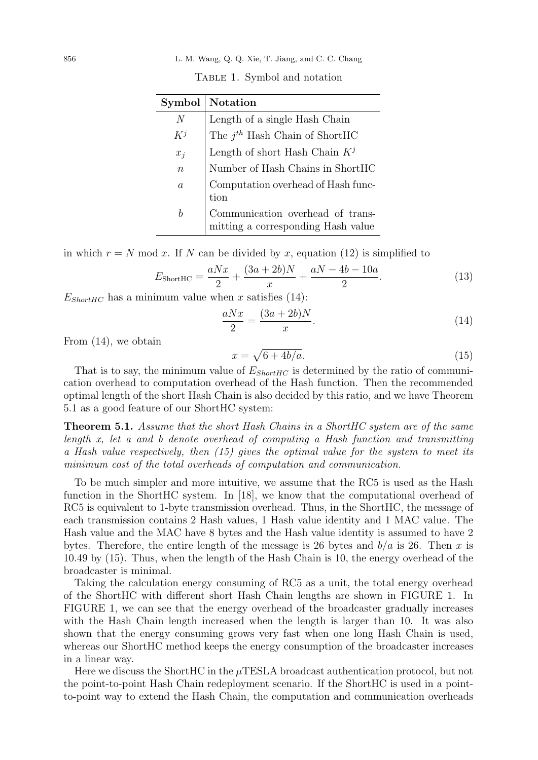#### 856 L. M. Wang, Q. Q. Xie, T. Jiang, and C. C. Chang

|  |  | TABLE 1. Symbol and notation |
|--|--|------------------------------|
|  |  |                              |

| Symbol           | <b>Notation</b>                                                        |
|------------------|------------------------------------------------------------------------|
| N                | Length of a single Hash Chain                                          |
| $K^j$            | The $j^{th}$ Hash Chain of ShortHC                                     |
| $x_i$            | Length of short Hash Chain $K^j$                                       |
| $\boldsymbol{n}$ | $\mbox{Number of Hash Chains}$ in $\mbox{ShortHC}$                     |
| $\alpha$         | Computation overhead of Hash func-<br>tion                             |
| b                | Communication overhead of trans-<br>mitting a corresponding Hash value |

in which  $r = N \mod x$ . If N can be divided by x, equation (12) is simplified to

$$
E_{\text{ShortHC}} = \frac{aNx}{2} + \frac{(3a+2b)N}{x} + \frac{aN - 4b - 10a}{2}.
$$
 (13)

 $E_{ShortHC}$  has a minimum value when x satisfies (14):

$$
\frac{aNx}{2} = \frac{(3a+2b)N}{x}.\tag{14}
$$

From (14), we obtain

$$
x = \sqrt{6 + 4b/a}.\tag{15}
$$

That is to say, the minimum value of  $E_{ShortHC}$  is determined by the ratio of communication overhead to computation overhead of the Hash function. Then the recommended optimal length of the short Hash Chain is also decided by this ratio, and we have Theorem 5.1 as a good feature of our ShortHC system:

Theorem 5.1. Assume that the short Hash Chains in a ShortHC system are of the same length x, let a and b denote overhead of computing a Hash function and transmitting a Hash value respectively, then (15) gives the optimal value for the system to meet its minimum cost of the total overheads of computation and communication.

To be much simpler and more intuitive, we assume that the RC5 is used as the Hash function in the ShortHC system. In [18], we know that the computational overhead of RC5 is equivalent to 1-byte transmission overhead. Thus, in the ShortHC, the message of each transmission contains 2 Hash values, 1 Hash value identity and 1 MAC value. The Hash value and the MAC have 8 bytes and the Hash value identity is assumed to have 2 bytes. Therefore, the entire length of the message is 26 bytes and  $b/a$  is 26. Then x is 10.49 by (15). Thus, when the length of the Hash Chain is 10, the energy overhead of the broadcaster is minimal.

Taking the calculation energy consuming of RC5 as a unit, the total energy overhead of the ShortHC with different short Hash Chain lengths are shown in FIGURE 1. In FIGURE 1, we can see that the energy overhead of the broadcaster gradually increases with the Hash Chain length increased when the length is larger than 10. It was also shown that the energy consuming grows very fast when one long Hash Chain is used, whereas our ShortHC method keeps the energy consumption of the broadcaster increases in a linear way.

Here we discuss the ShortHC in the  $\mu$ TESLA broadcast authentication protocol, but not the point-to-point Hash Chain redeployment scenario. If the ShortHC is used in a pointto-point way to extend the Hash Chain, the computation and communication overheads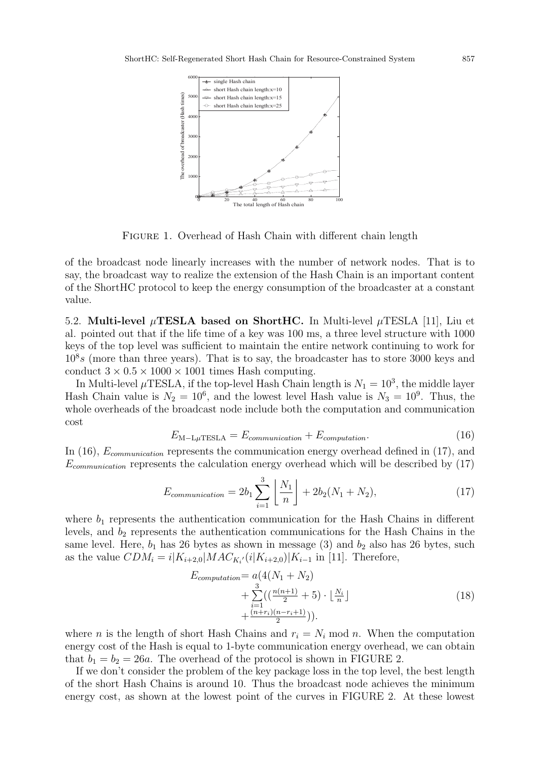

FIGURE 1. Overhead of Hash Chain with different chain length

of the broadcast node linearly increases with the number of network nodes. That is to say, the broadcast way to realize the extension of the Hash Chain is an important content of the ShortHC protocol to keep the energy consumption of the broadcaster at a constant value.

5.2. Multi-level  $\mu$ TESLA based on ShortHC. In Multi-level  $\mu$ TESLA [11], Liu et al. pointed out that if the life time of a key was 100 ms, a three level structure with 1000 keys of the top level was sufficient to maintain the entire network continuing to work for  $10<sup>8</sup>s$  (more than three years). That is to say, the broadcaster has to store 3000 keys and conduct  $3 \times 0.5 \times 1000 \times 1001$  times Hash computing.

In Multi-level  $\mu$ TESLA, if the top-level Hash Chain length is  $N_1 = 10^3$ , the middle layer Hash Chain value is  $N_2 = 10^6$ , and the lowest level Hash value is  $N_3 = 10^9$ . Thus, the whole overheads of the broadcast node include both the computation and communication cost

$$
E_{\text{M-L}\mu\text{TESLA}} = E_{communication} + E_{computation}.
$$
\n(16)

In (16),  $E_{communication}$  represents the communication energy overhead defined in (17), and  $E_{communication}$  represents the calculation energy overhead which will be described by  $(17)$ 

$$
E_{communication} = 2b_1 \sum_{i=1}^{3} \left\lfloor \frac{N_1}{n} \right\rfloor + 2b_2(N_1 + N_2), \tag{17}
$$

where  $b_1$  represents the authentication communication for the Hash Chains in different levels, and  $b_2$  represents the authentication communications for the Hash Chains in the same level. Here,  $b_1$  has 26 bytes as shown in message (3) and  $b_2$  also has 26 bytes, such as the value  $CDM_i = i|K_{i+2,0}|MAC_{K_i'}(i|K_{i+2,0})|K_{i-1}$  in [11]. Therefore,

$$
E_{computation} = a(4(N_1 + N_2) + \sum_{i=1}^{3} ((\frac{n(n+1)}{2} + 5) \cdot \lfloor \frac{N_i}{n} \rfloor + \frac{(n+r_i)(n-r_i+1)}{2})).
$$
\n(18)

where *n* is the length of short Hash Chains and  $r_i = N_i \text{ mod } n$ . When the computation energy cost of the Hash is equal to 1-byte communication energy overhead, we can obtain that  $b_1 = b_2 = 26a$ . The overhead of the protocol is shown in FIGURE 2.

If we don't consider the problem of the key package loss in the top level, the best length of the short Hash Chains is around 10. Thus the broadcast node achieves the minimum energy cost, as shown at the lowest point of the curves in FIGURE 2. At these lowest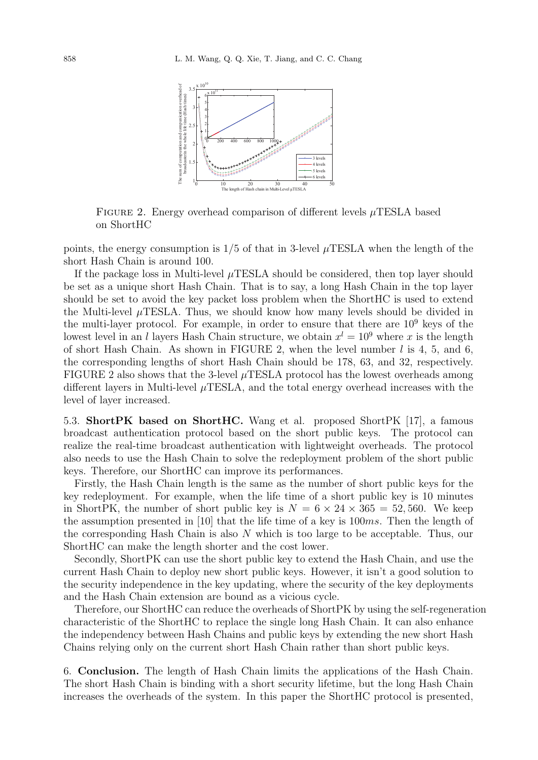

FIGURE 2. Energy overhead comparison of different levels  $\mu$ TESLA based on ShortHC

points, the energy consumption is  $1/5$  of that in 3-level  $\mu$ TESLA when the length of the short Hash Chain is around 100.

If the package loss in Multi-level  $\mu$ TESLA should be considered, then top layer should be set as a unique short Hash Chain. That is to say, a long Hash Chain in the top layer should be set to avoid the key packet loss problem when the ShortHC is used to extend the Multi-level  $\mu$ TESLA. Thus, we should know how many levels should be divided in the multi-layer protocol. For example, in order to ensure that there are  $10<sup>9</sup>$  keys of the lowest level in an l layers Hash Chain structure, we obtain  $x^l = 10^9$  where x is the length of short Hash Chain. As shown in FIGURE 2, when the level number  $l$  is 4, 5, and 6, the corresponding lengths of short Hash Chain should be 178, 63, and 32, respectively. FIGURE 2 also shows that the 3-level  $\mu$ TESLA protocol has the lowest overheads among different layers in Multi-level  $\mu$ TESLA, and the total energy overhead increases with the level of layer increased.

5.3. ShortPK based on ShortHC. Wang et al. proposed ShortPK [17], a famous broadcast authentication protocol based on the short public keys. The protocol can realize the real-time broadcast authentication with lightweight overheads. The protocol also needs to use the Hash Chain to solve the redeployment problem of the short public keys. Therefore, our ShortHC can improve its performances.

Firstly, the Hash Chain length is the same as the number of short public keys for the key redeployment. For example, when the life time of a short public key is 10 minutes in ShortPK, the number of short public key is  $N = 6 \times 24 \times 365 = 52,560$ . We keep the assumption presented in [10] that the life time of a key is  $100ms$ . Then the length of the corresponding Hash Chain is also  $N$  which is too large to be acceptable. Thus, our ShortHC can make the length shorter and the cost lower.

Secondly, ShortPK can use the short public key to extend the Hash Chain, and use the current Hash Chain to deploy new short public keys. However, it isn't a good solution to the security independence in the key updating, where the security of the key deployments and the Hash Chain extension are bound as a vicious cycle.

Therefore, our ShortHC can reduce the overheads of ShortPK by using the self-regeneration characteristic of the ShortHC to replace the single long Hash Chain. It can also enhance the independency between Hash Chains and public keys by extending the new short Hash Chains relying only on the current short Hash Chain rather than short public keys.

6. Conclusion. The length of Hash Chain limits the applications of the Hash Chain. The short Hash Chain is binding with a short security lifetime, but the long Hash Chain increases the overheads of the system. In this paper the ShortHC protocol is presented,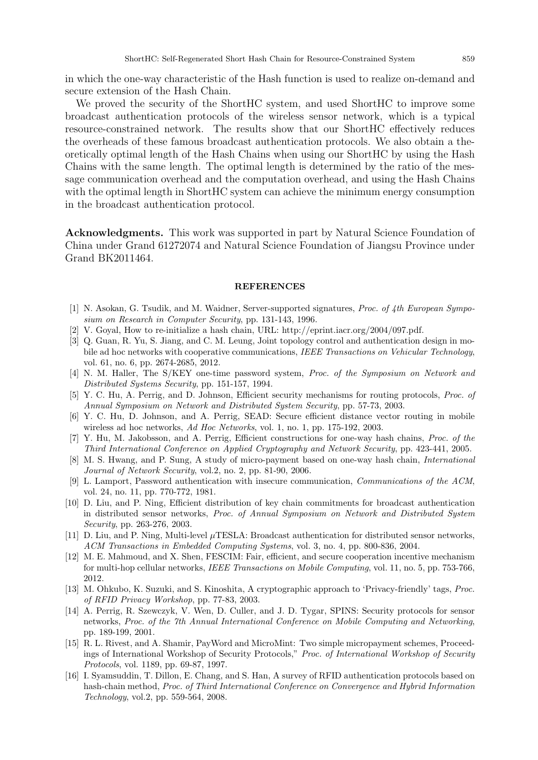in which the one-way characteristic of the Hash function is used to realize on-demand and secure extension of the Hash Chain.

We proved the security of the ShortHC system, and used ShortHC to improve some broadcast authentication protocols of the wireless sensor network, which is a typical resource-constrained network. The results show that our ShortHC effectively reduces the overheads of these famous broadcast authentication protocols. We also obtain a theoretically optimal length of the Hash Chains when using our ShortHC by using the Hash Chains with the same length. The optimal length is determined by the ratio of the message communication overhead and the computation overhead, and using the Hash Chains with the optimal length in ShortHC system can achieve the minimum energy consumption in the broadcast authentication protocol.

Acknowledgments. This work was supported in part by Natural Science Foundation of China under Grand 61272074 and Natural Science Foundation of Jiangsu Province under Grand BK2011464.

#### REFERENCES

- [1] N. Asokan, G. Tsudik, and M. Waidner, Server-supported signatures, Proc. of 4th European Symposium on Research in Computer Security, pp. 131-143, 1996.
- [2] V. Goyal, How to re-initialize a hash chain, URL: http://eprint.iacr.org/2004/097.pdf.
- [3] Q. Guan, R. Yu, S. Jiang, and C. M. Leung, Joint topology control and authentication design in mobile ad hoc networks with cooperative communications, IEEE Transactions on Vehicular Technology, vol. 61, no. 6, pp. 2674-2685, 2012.
- [4] N. M. Haller, The S/KEY one-time password system, Proc. of the Symposium on Network and Distributed Systems Security, pp. 151-157, 1994.
- [5] Y. C. Hu, A. Perrig, and D. Johnson, Efficient security mechanisms for routing protocols, *Proc. of* Annual Symposium on Network and Distributed System Security, pp. 57-73, 2003.
- [6] Y. C. Hu, D. Johnson, and A. Perrig, SEAD: Secure efficient distance vector routing in mobile wireless ad hoc networks, Ad Hoc Networks, vol. 1, no. 1, pp. 175-192, 2003.
- [7] Y. Hu, M. Jakobsson, and A. Perrig, Efficient constructions for one-way hash chains, Proc. of the Third International Conference on Applied Cryptography and Network Security, pp. 423-441, 2005.
- [8] M. S. Hwang, and P. Sung, A study of micro-payment based on one-way hash chain, International Journal of Network Security, vol.2, no. 2, pp. 81-90, 2006.
- [9] L. Lamport, Password authentication with insecure communication, Communications of the ACM, vol. 24, no. 11, pp. 770-772, 1981.
- [10] D. Liu, and P. Ning, Efficient distribution of key chain commitments for broadcast authentication in distributed sensor networks, Proc. of Annual Symposium on Network and Distributed System Security, pp. 263-276, 2003.
- [11] D. Liu, and P. Ning, Multi-level µTESLA: Broadcast authentication for distributed sensor networks, ACM Transactions in Embedded Computing Systems, vol. 3, no. 4, pp. 800-836, 2004.
- [12] M. E. Mahmoud, and X. Shen, FESCIM: Fair, efficient, and secure cooperation incentive mechanism for multi-hop cellular networks, IEEE Transactions on Mobile Computing, vol. 11, no. 5, pp. 753-766, 2012.
- [13] M. Ohkubo, K. Suzuki, and S. Kinoshita, A cryptographic approach to 'Privacy-friendly' tags, Proc. of RFID Privacy Workshop, pp. 77-83, 2003.
- [14] A. Perrig, R. Szewczyk, V. Wen, D. Culler, and J. D. Tygar, SPINS: Security protocols for sensor networks, Proc. of the 7th Annual International Conference on Mobile Computing and Networking, pp. 189-199, 2001.
- [15] R. L. Rivest, and A. Shamir, PayWord and MicroMint: Two simple micropayment schemes, Proceedings of International Workshop of Security Protocols," Proc. of International Workshop of Security Protocols, vol. 1189, pp. 69-87, 1997.
- [16] I. Syamsuddin, T. Dillon, E. Chang, and S. Han, A survey of RFID authentication protocols based on hash-chain method, Proc. of Third International Conference on Convergence and Hybrid Information Technology, vol.2, pp. 559-564, 2008.